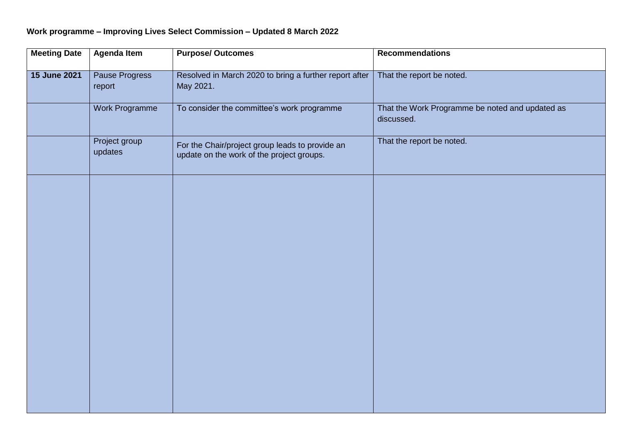| <b>Meeting Date</b> | <b>Agenda Item</b>              | <b>Purpose/Outcomes</b>                                                                      | <b>Recommendations</b>                                        |
|---------------------|---------------------------------|----------------------------------------------------------------------------------------------|---------------------------------------------------------------|
| <b>15 June 2021</b> | <b>Pause Progress</b><br>report | Resolved in March 2020 to bring a further report after<br>May 2021.                          | That the report be noted.                                     |
|                     | <b>Work Programme</b>           | To consider the committee's work programme                                                   | That the Work Programme be noted and updated as<br>discussed. |
|                     | Project group<br>updates        | For the Chair/project group leads to provide an<br>update on the work of the project groups. | That the report be noted.                                     |
|                     |                                 |                                                                                              |                                                               |
|                     |                                 |                                                                                              |                                                               |
|                     |                                 |                                                                                              |                                                               |
|                     |                                 |                                                                                              |                                                               |
|                     |                                 |                                                                                              |                                                               |
|                     |                                 |                                                                                              |                                                               |
|                     |                                 |                                                                                              |                                                               |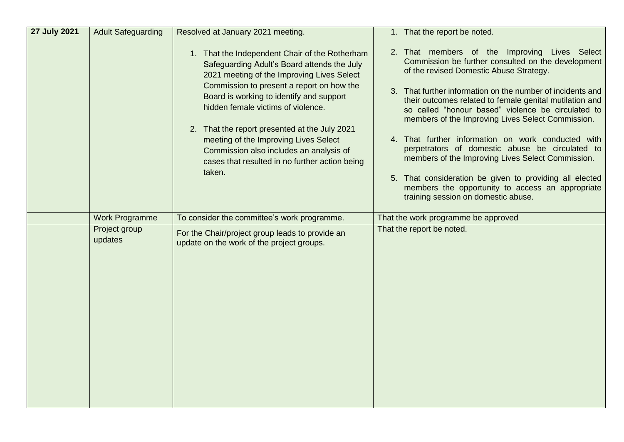| 27 July 2021 | <b>Adult Safeguarding</b> | Resolved at January 2021 meeting.                                                                                                                                                                                                                                                                                                                                                                                                                                           | 1. That the report be noted.                                                                                                                                                                                                                                                                                                                                                                                                                                                                                                                                                                                                                                                                           |
|--------------|---------------------------|-----------------------------------------------------------------------------------------------------------------------------------------------------------------------------------------------------------------------------------------------------------------------------------------------------------------------------------------------------------------------------------------------------------------------------------------------------------------------------|--------------------------------------------------------------------------------------------------------------------------------------------------------------------------------------------------------------------------------------------------------------------------------------------------------------------------------------------------------------------------------------------------------------------------------------------------------------------------------------------------------------------------------------------------------------------------------------------------------------------------------------------------------------------------------------------------------|
|              |                           | 1. That the Independent Chair of the Rotherham<br>Safeguarding Adult's Board attends the July<br>2021 meeting of the Improving Lives Select<br>Commission to present a report on how the<br>Board is working to identify and support<br>hidden female victims of violence.<br>2. That the report presented at the July 2021<br>meeting of the Improving Lives Select<br>Commission also includes an analysis of<br>cases that resulted in no further action being<br>taken. | 2. That members of the Improving Lives Select<br>Commission be further consulted on the development<br>of the revised Domestic Abuse Strategy.<br>3. That further information on the number of incidents and<br>their outcomes related to female genital mutilation and<br>so called "honour based" violence be circulated to<br>members of the Improving Lives Select Commission.<br>4. That further information on work conducted with<br>perpetrators of domestic abuse be circulated to<br>members of the Improving Lives Select Commission.<br>5. That consideration be given to providing all elected<br>members the opportunity to access an appropriate<br>training session on domestic abuse. |
|              | <b>Work Programme</b>     | To consider the committee's work programme.                                                                                                                                                                                                                                                                                                                                                                                                                                 | That the work programme be approved                                                                                                                                                                                                                                                                                                                                                                                                                                                                                                                                                                                                                                                                    |
|              | Project group<br>updates  | For the Chair/project group leads to provide an<br>update on the work of the project groups.                                                                                                                                                                                                                                                                                                                                                                                | That the report be noted.                                                                                                                                                                                                                                                                                                                                                                                                                                                                                                                                                                                                                                                                              |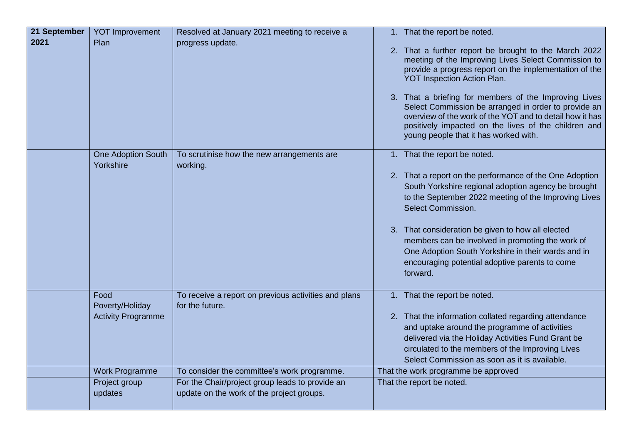| 21 September | <b>YOT Improvement</b>                 | Resolved at January 2021 meeting to receive a                                                | 1. That the report be noted.                                                                                                                                                                                                                                               |
|--------------|----------------------------------------|----------------------------------------------------------------------------------------------|----------------------------------------------------------------------------------------------------------------------------------------------------------------------------------------------------------------------------------------------------------------------------|
| 2021         | Plan                                   | progress update.                                                                             |                                                                                                                                                                                                                                                                            |
|              |                                        |                                                                                              | 2. That a further report be brought to the March 2022<br>meeting of the Improving Lives Select Commission to<br>provide a progress report on the implementation of the<br><b>YOT Inspection Action Plan.</b>                                                               |
|              |                                        |                                                                                              | 3. That a briefing for members of the Improving Lives<br>Select Commission be arranged in order to provide an<br>overview of the work of the YOT and to detail how it has<br>positively impacted on the lives of the children and<br>young people that it has worked with. |
|              | <b>One Adoption South</b><br>Yorkshire | To scrutinise how the new arrangements are<br>working.                                       | 1. That the report be noted.                                                                                                                                                                                                                                               |
|              |                                        |                                                                                              | 2. That a report on the performance of the One Adoption<br>South Yorkshire regional adoption agency be brought<br>to the September 2022 meeting of the Improving Lives<br>Select Commission.                                                                               |
|              |                                        |                                                                                              | 3. That consideration be given to how all elected<br>members can be involved in promoting the work of<br>One Adoption South Yorkshire in their wards and in<br>encouraging potential adoptive parents to come<br>forward.                                                  |
|              | Food<br>Poverty/Holiday                | To receive a report on previous activities and plans<br>for the future.                      | 1. That the report be noted.                                                                                                                                                                                                                                               |
|              | <b>Activity Programme</b>              |                                                                                              | 2. That the information collated regarding attendance<br>and uptake around the programme of activities<br>delivered via the Holiday Activities Fund Grant be<br>circulated to the members of the Improving Lives<br>Select Commission as soon as it is available.          |
|              | <b>Work Programme</b>                  | To consider the committee's work programme.                                                  | That the work programme be approved                                                                                                                                                                                                                                        |
|              | Project group<br>updates               | For the Chair/project group leads to provide an<br>update on the work of the project groups. | That the report be noted.                                                                                                                                                                                                                                                  |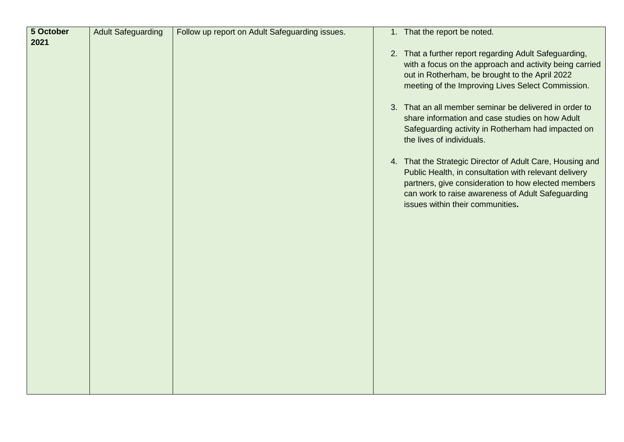| 5 October | <b>Adult Safeguarding</b> | Follow up report on Adult Safeguarding issues. | 1. That the report be noted.                                                          |
|-----------|---------------------------|------------------------------------------------|---------------------------------------------------------------------------------------|
| 2021      |                           |                                                |                                                                                       |
|           |                           |                                                | 2. That a further report regarding Adult Safeguarding,                                |
|           |                           |                                                | with a focus on the approach and activity being carried                               |
|           |                           |                                                | out in Rotherham, be brought to the April 2022                                        |
|           |                           |                                                | meeting of the Improving Lives Select Commission.                                     |
|           |                           |                                                | 3. That an all member seminar be delivered in order to                                |
|           |                           |                                                | share information and case studies on how Adult                                       |
|           |                           |                                                | Safeguarding activity in Rotherham had impacted on<br>the lives of individuals.       |
|           |                           |                                                |                                                                                       |
|           |                           |                                                | 4. That the Strategic Director of Adult Care, Housing and                             |
|           |                           |                                                | Public Health, in consultation with relevant delivery                                 |
|           |                           |                                                | partners, give consideration to how elected members                                   |
|           |                           |                                                | can work to raise awareness of Adult Safeguarding<br>issues within their communities. |
|           |                           |                                                |                                                                                       |
|           |                           |                                                |                                                                                       |
|           |                           |                                                |                                                                                       |
|           |                           |                                                |                                                                                       |
|           |                           |                                                |                                                                                       |
|           |                           |                                                |                                                                                       |
|           |                           |                                                |                                                                                       |
|           |                           |                                                |                                                                                       |
|           |                           |                                                |                                                                                       |
|           |                           |                                                |                                                                                       |
|           |                           |                                                |                                                                                       |
|           |                           |                                                |                                                                                       |
|           |                           |                                                |                                                                                       |
|           |                           |                                                |                                                                                       |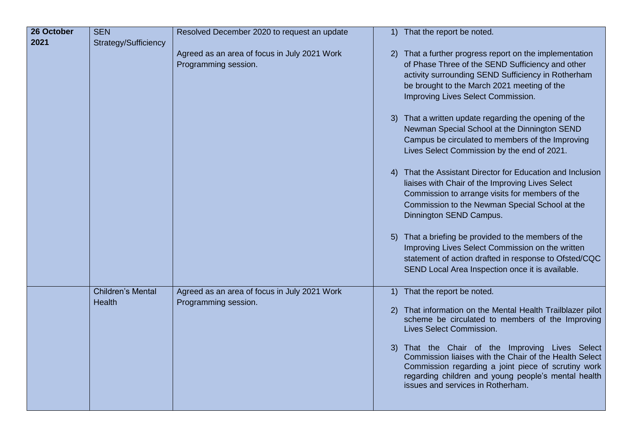| 26 October | <b>SEN</b>               | Resolved December 2020 to request an update                          |    | 1) That the report be noted.                                                                                                                                                                                                                           |
|------------|--------------------------|----------------------------------------------------------------------|----|--------------------------------------------------------------------------------------------------------------------------------------------------------------------------------------------------------------------------------------------------------|
| 2021       | Strategy/Sufficiency     |                                                                      |    |                                                                                                                                                                                                                                                        |
|            |                          | Agreed as an area of focus in July 2021 Work<br>Programming session. |    | 2) That a further progress report on the implementation<br>of Phase Three of the SEND Sufficiency and other<br>activity surrounding SEND Sufficiency in Rotherham<br>be brought to the March 2021 meeting of the<br>Improving Lives Select Commission. |
|            |                          |                                                                      |    | 3) That a written update regarding the opening of the<br>Newman Special School at the Dinnington SEND<br>Campus be circulated to members of the Improving<br>Lives Select Commission by the end of 2021.                                               |
|            |                          |                                                                      | 4) | That the Assistant Director for Education and Inclusion<br>liaises with Chair of the Improving Lives Select<br>Commission to arrange visits for members of the<br>Commission to the Newman Special School at the<br>Dinnington SEND Campus.            |
|            |                          |                                                                      |    | 5) That a briefing be provided to the members of the<br>Improving Lives Select Commission on the written<br>statement of action drafted in response to Ofsted/CQC<br>SEND Local Area Inspection once it is available.                                  |
|            | <b>Children's Mental</b> | Agreed as an area of focus in July 2021 Work                         | 1) | That the report be noted.                                                                                                                                                                                                                              |
|            | <b>Health</b>            | Programming session.                                                 |    | 2) That information on the Mental Health Trailblazer pilot<br>scheme be circulated to members of the Improving<br>Lives Select Commission.<br>3) That the Chair of the Improving Lives Select                                                          |
|            |                          |                                                                      |    | Commission liaises with the Chair of the Health Select<br>Commission regarding a joint piece of scrutiny work<br>regarding children and young people's mental health<br>issues and services in Rotherham.                                              |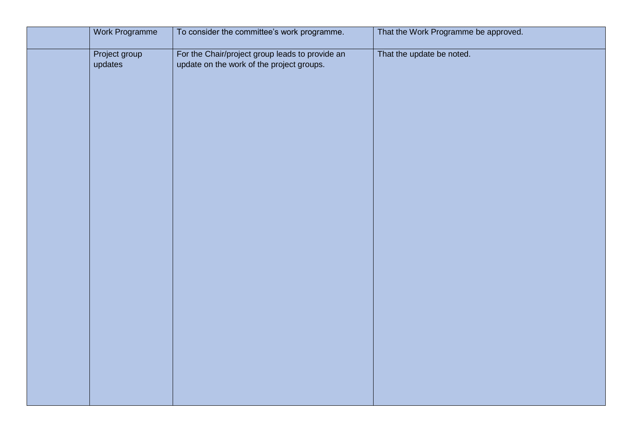|  | Work Programme           | To consider the committee's work programme.                                                  | That the Work Programme be approved. |
|--|--------------------------|----------------------------------------------------------------------------------------------|--------------------------------------|
|  | Project group<br>updates | For the Chair/project group leads to provide an<br>update on the work of the project groups. | That the update be noted.            |
|  |                          |                                                                                              |                                      |
|  |                          |                                                                                              |                                      |
|  |                          |                                                                                              |                                      |
|  |                          |                                                                                              |                                      |
|  |                          |                                                                                              |                                      |
|  |                          |                                                                                              |                                      |
|  |                          |                                                                                              |                                      |
|  |                          |                                                                                              |                                      |
|  |                          |                                                                                              |                                      |
|  |                          |                                                                                              |                                      |
|  |                          |                                                                                              |                                      |
|  |                          |                                                                                              |                                      |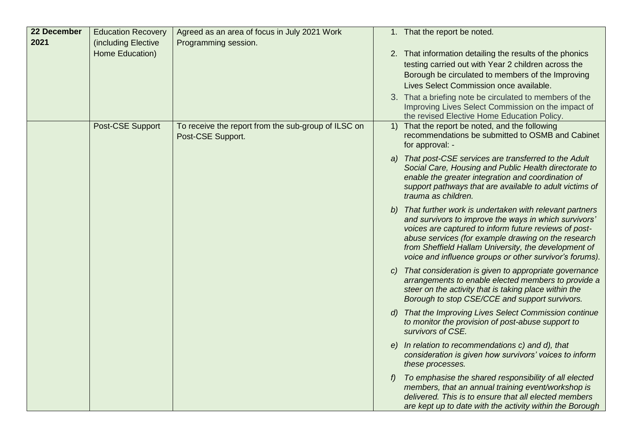| 22 December | <b>Education Recovery</b> | Agreed as an area of focus in July 2021 Work                             |    | 1. That the report be noted.                                                                                                                                                                                                                                                                                                                          |
|-------------|---------------------------|--------------------------------------------------------------------------|----|-------------------------------------------------------------------------------------------------------------------------------------------------------------------------------------------------------------------------------------------------------------------------------------------------------------------------------------------------------|
| 2021        | (including Elective       | Programming session.                                                     |    |                                                                                                                                                                                                                                                                                                                                                       |
|             | Home Education)           |                                                                          |    | 2. That information detailing the results of the phonics                                                                                                                                                                                                                                                                                              |
|             |                           |                                                                          |    | testing carried out with Year 2 children across the                                                                                                                                                                                                                                                                                                   |
|             |                           |                                                                          |    | Borough be circulated to members of the Improving                                                                                                                                                                                                                                                                                                     |
|             |                           |                                                                          |    | Lives Select Commission once available.                                                                                                                                                                                                                                                                                                               |
|             |                           |                                                                          |    | 3. That a briefing note be circulated to members of the<br>Improving Lives Select Commission on the impact of<br>the revised Elective Home Education Policy.                                                                                                                                                                                          |
|             | Post-CSE Support          | To receive the report from the sub-group of ILSC on<br>Post-CSE Support. |    | 1) That the report be noted, and the following<br>recommendations be submitted to OSMB and Cabinet<br>for approval: -                                                                                                                                                                                                                                 |
|             |                           |                                                                          |    | a) That post-CSE services are transferred to the Adult<br>Social Care, Housing and Public Health directorate to<br>enable the greater integration and coordination of<br>support pathways that are available to adult victims of<br>trauma as children.                                                                                               |
|             |                           |                                                                          |    | b) That further work is undertaken with relevant partners<br>and survivors to improve the ways in which survivors'<br>voices are captured to inform future reviews of post-<br>abuse services (for example drawing on the research<br>from Sheffield Hallam University, the development of<br>voice and influence groups or other survivor's forums). |
|             |                           |                                                                          | C) | That consideration is given to appropriate governance<br>arrangements to enable elected members to provide a<br>steer on the activity that is taking place within the<br>Borough to stop CSE/CCE and support survivors.                                                                                                                               |
|             |                           |                                                                          |    | d) That the Improving Lives Select Commission continue<br>to monitor the provision of post-abuse support to<br>survivors of CSE.                                                                                                                                                                                                                      |
|             |                           |                                                                          |    | e) In relation to recommendations c) and d), that<br>consideration is given how survivors' voices to inform<br>these processes.                                                                                                                                                                                                                       |
|             |                           |                                                                          | f  | To emphasise the shared responsibility of all elected<br>members, that an annual training event/workshop is<br>delivered. This is to ensure that all elected members<br>are kept up to date with the activity within the Borough                                                                                                                      |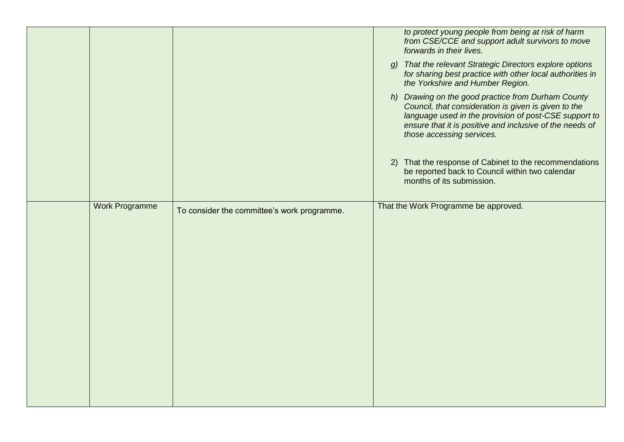|                       |                                             | to protect young people from being at risk of harm<br>from CSE/CCE and support adult survivors to move<br>forwards in their lives.                                                                                                                           |
|-----------------------|---------------------------------------------|--------------------------------------------------------------------------------------------------------------------------------------------------------------------------------------------------------------------------------------------------------------|
|                       |                                             | g) That the relevant Strategic Directors explore options<br>for sharing best practice with other local authorities in<br>the Yorkshire and Humber Region.                                                                                                    |
|                       |                                             | h) Drawing on the good practice from Durham County<br>Council, that consideration is given is given to the<br>language used in the provision of post-CSE support to<br>ensure that it is positive and inclusive of the needs of<br>those accessing services. |
|                       |                                             | 2) That the response of Cabinet to the recommendations<br>be reported back to Council within two calendar<br>months of its submission.                                                                                                                       |
| <b>Work Programme</b> | To consider the committee's work programme. | That the Work Programme be approved.                                                                                                                                                                                                                         |
|                       |                                             |                                                                                                                                                                                                                                                              |
|                       |                                             |                                                                                                                                                                                                                                                              |
|                       |                                             |                                                                                                                                                                                                                                                              |
|                       |                                             |                                                                                                                                                                                                                                                              |
|                       |                                             |                                                                                                                                                                                                                                                              |
|                       |                                             |                                                                                                                                                                                                                                                              |
|                       |                                             |                                                                                                                                                                                                                                                              |
|                       |                                             |                                                                                                                                                                                                                                                              |
|                       |                                             |                                                                                                                                                                                                                                                              |
|                       |                                             |                                                                                                                                                                                                                                                              |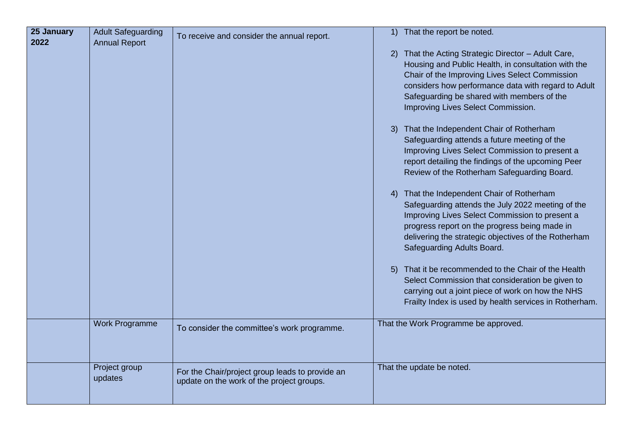| 25 January | <b>Adult Safeguarding</b> |                                                                                              |    | 1) That the report be noted.                                                                                                                                                                                                                                                                            |
|------------|---------------------------|----------------------------------------------------------------------------------------------|----|---------------------------------------------------------------------------------------------------------------------------------------------------------------------------------------------------------------------------------------------------------------------------------------------------------|
| 2022       | <b>Annual Report</b>      | To receive and consider the annual report.                                                   |    |                                                                                                                                                                                                                                                                                                         |
|            |                           |                                                                                              |    | 2) That the Acting Strategic Director - Adult Care,<br>Housing and Public Health, in consultation with the<br>Chair of the Improving Lives Select Commission<br>considers how performance data with regard to Adult<br>Safeguarding be shared with members of the<br>Improving Lives Select Commission. |
|            |                           |                                                                                              |    | 3) That the Independent Chair of Rotherham<br>Safeguarding attends a future meeting of the<br>Improving Lives Select Commission to present a<br>report detailing the findings of the upcoming Peer<br>Review of the Rotherham Safeguarding Board.                                                       |
|            |                           |                                                                                              | 4) | That the Independent Chair of Rotherham<br>Safeguarding attends the July 2022 meeting of the<br>Improving Lives Select Commission to present a<br>progress report on the progress being made in<br>delivering the strategic objectives of the Rotherham<br>Safeguarding Adults Board.                   |
|            |                           |                                                                                              |    | 5) That it be recommended to the Chair of the Health<br>Select Commission that consideration be given to<br>carrying out a joint piece of work on how the NHS<br>Frailty Index is used by health services in Rotherham.                                                                                 |
|            | <b>Work Programme</b>     | To consider the committee's work programme.                                                  |    | That the Work Programme be approved.                                                                                                                                                                                                                                                                    |
|            | Project group<br>updates  | For the Chair/project group leads to provide an<br>update on the work of the project groups. |    | That the update be noted.                                                                                                                                                                                                                                                                               |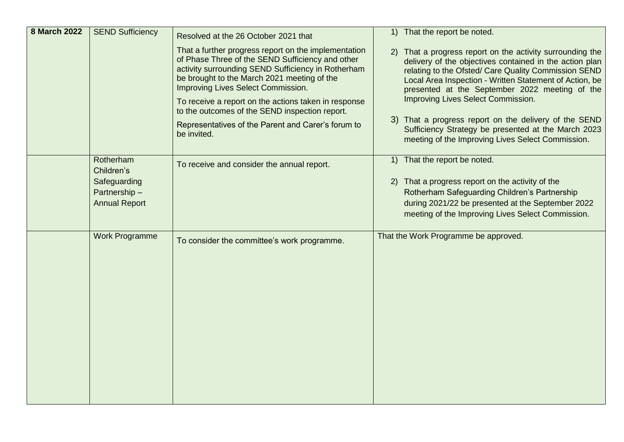| 8 March 2022 | <b>SEND Sufficiency</b>    | Resolved at the 26 October 2021 that                                                                                                                                                                                                                                                                                                                                                                                               | 1) That the report be noted.                                                                                                                                                                                                                                                                                                                                                                                                                                                                         |
|--------------|----------------------------|------------------------------------------------------------------------------------------------------------------------------------------------------------------------------------------------------------------------------------------------------------------------------------------------------------------------------------------------------------------------------------------------------------------------------------|------------------------------------------------------------------------------------------------------------------------------------------------------------------------------------------------------------------------------------------------------------------------------------------------------------------------------------------------------------------------------------------------------------------------------------------------------------------------------------------------------|
|              |                            | That a further progress report on the implementation<br>of Phase Three of the SEND Sufficiency and other<br>activity surrounding SEND Sufficiency in Rotherham<br>be brought to the March 2021 meeting of the<br>Improving Lives Select Commission.<br>To receive a report on the actions taken in response<br>to the outcomes of the SEND inspection report.<br>Representatives of the Parent and Carer's forum to<br>be invited. | 2) That a progress report on the activity surrounding the<br>delivery of the objectives contained in the action plan<br>relating to the Ofsted/ Care Quality Commission SEND<br>Local Area Inspection - Written Statement of Action, be<br>presented at the September 2022 meeting of the<br>Improving Lives Select Commission.<br>3) That a progress report on the delivery of the SEND<br>Sufficiency Strategy be presented at the March 2023<br>meeting of the Improving Lives Select Commission. |
|              | Rotherham                  | To receive and consider the annual report.                                                                                                                                                                                                                                                                                                                                                                                         | That the report be noted.<br>1)                                                                                                                                                                                                                                                                                                                                                                                                                                                                      |
|              | Children's<br>Safeguarding |                                                                                                                                                                                                                                                                                                                                                                                                                                    | 2) That a progress report on the activity of the                                                                                                                                                                                                                                                                                                                                                                                                                                                     |
|              | Partnership-               |                                                                                                                                                                                                                                                                                                                                                                                                                                    | Rotherham Safeguarding Children's Partnership                                                                                                                                                                                                                                                                                                                                                                                                                                                        |
|              | <b>Annual Report</b>       |                                                                                                                                                                                                                                                                                                                                                                                                                                    | during 2021/22 be presented at the September 2022<br>meeting of the Improving Lives Select Commission.                                                                                                                                                                                                                                                                                                                                                                                               |
|              | <b>Work Programme</b>      | To consider the committee's work programme.                                                                                                                                                                                                                                                                                                                                                                                        | That the Work Programme be approved.                                                                                                                                                                                                                                                                                                                                                                                                                                                                 |
|              |                            |                                                                                                                                                                                                                                                                                                                                                                                                                                    |                                                                                                                                                                                                                                                                                                                                                                                                                                                                                                      |
|              |                            |                                                                                                                                                                                                                                                                                                                                                                                                                                    |                                                                                                                                                                                                                                                                                                                                                                                                                                                                                                      |
|              |                            |                                                                                                                                                                                                                                                                                                                                                                                                                                    |                                                                                                                                                                                                                                                                                                                                                                                                                                                                                                      |
|              |                            |                                                                                                                                                                                                                                                                                                                                                                                                                                    |                                                                                                                                                                                                                                                                                                                                                                                                                                                                                                      |
|              |                            |                                                                                                                                                                                                                                                                                                                                                                                                                                    |                                                                                                                                                                                                                                                                                                                                                                                                                                                                                                      |
|              |                            |                                                                                                                                                                                                                                                                                                                                                                                                                                    |                                                                                                                                                                                                                                                                                                                                                                                                                                                                                                      |
|              |                            |                                                                                                                                                                                                                                                                                                                                                                                                                                    |                                                                                                                                                                                                                                                                                                                                                                                                                                                                                                      |
|              |                            |                                                                                                                                                                                                                                                                                                                                                                                                                                    |                                                                                                                                                                                                                                                                                                                                                                                                                                                                                                      |
|              |                            |                                                                                                                                                                                                                                                                                                                                                                                                                                    |                                                                                                                                                                                                                                                                                                                                                                                                                                                                                                      |
|              |                            |                                                                                                                                                                                                                                                                                                                                                                                                                                    |                                                                                                                                                                                                                                                                                                                                                                                                                                                                                                      |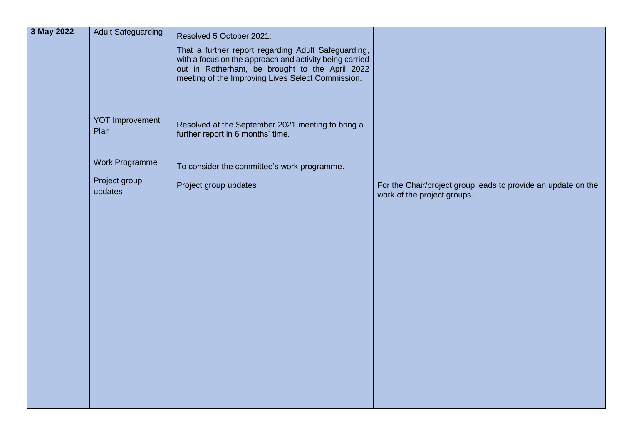| 3 May 2022 | <b>Adult Safeguarding</b>      | Resolved 5 October 2021:<br>That a further report regarding Adult Safeguarding,<br>with a focus on the approach and activity being carried<br>out in Rotherham, be brought to the April 2022<br>meeting of the Improving Lives Select Commission. |                                                                                              |
|------------|--------------------------------|---------------------------------------------------------------------------------------------------------------------------------------------------------------------------------------------------------------------------------------------------|----------------------------------------------------------------------------------------------|
|            | <b>YOT Improvement</b><br>Plan | Resolved at the September 2021 meeting to bring a<br>further report in 6 months' time.                                                                                                                                                            |                                                                                              |
|            | Work Programme                 | To consider the committee's work programme.                                                                                                                                                                                                       |                                                                                              |
|            | Project group<br>updates       | Project group updates                                                                                                                                                                                                                             | For the Chair/project group leads to provide an update on the<br>work of the project groups. |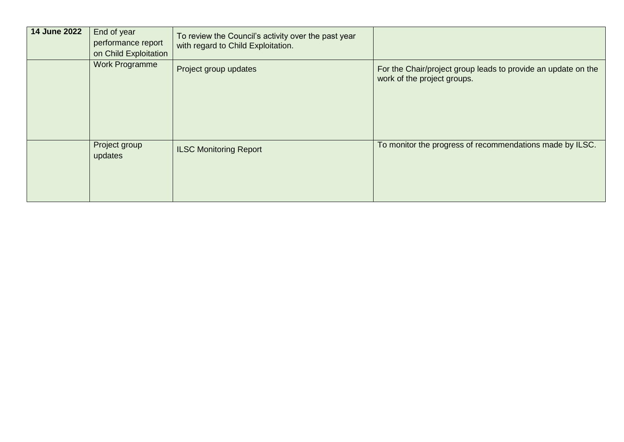| 14 June 2022 | End of year<br>performance report<br>on Child Exploitation | To review the Council's activity over the past year<br>with regard to Child Exploitation. |                                                                                              |
|--------------|------------------------------------------------------------|-------------------------------------------------------------------------------------------|----------------------------------------------------------------------------------------------|
|              | <b>Work Programme</b>                                      | Project group updates                                                                     | For the Chair/project group leads to provide an update on the<br>work of the project groups. |
|              | Project group<br>updates                                   | <b>ILSC Monitoring Report</b>                                                             | To monitor the progress of recommendations made by ILSC.                                     |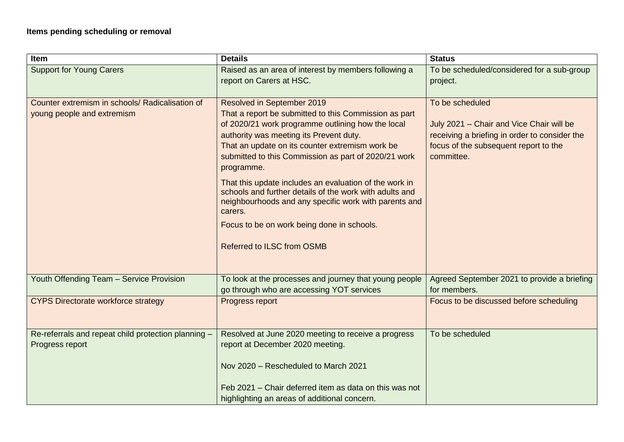| <b>Item</b>                                         | <b>Details</b>                                                                                                                                                                                                                                                                                                                                                                                                                                                                                                                                                                     | <b>Status</b>                                                                                                                                                                                               |
|-----------------------------------------------------|------------------------------------------------------------------------------------------------------------------------------------------------------------------------------------------------------------------------------------------------------------------------------------------------------------------------------------------------------------------------------------------------------------------------------------------------------------------------------------------------------------------------------------------------------------------------------------|-------------------------------------------------------------------------------------------------------------------------------------------------------------------------------------------------------------|
| <b>Support for Young Carers</b>                     | Raised as an area of interest by members following a                                                                                                                                                                                                                                                                                                                                                                                                                                                                                                                               | To be scheduled/considered for a sub-group                                                                                                                                                                  |
|                                                     | report on Carers at HSC.                                                                                                                                                                                                                                                                                                                                                                                                                                                                                                                                                           | project.                                                                                                                                                                                                    |
|                                                     |                                                                                                                                                                                                                                                                                                                                                                                                                                                                                                                                                                                    |                                                                                                                                                                                                             |
| Counter extremism in schools/ Radicalisation of     | Resolved in September 2019                                                                                                                                                                                                                                                                                                                                                                                                                                                                                                                                                         | To be scheduled                                                                                                                                                                                             |
| young people and extremism                          | That a report be submitted to this Commission as part                                                                                                                                                                                                                                                                                                                                                                                                                                                                                                                              |                                                                                                                                                                                                             |
|                                                     |                                                                                                                                                                                                                                                                                                                                                                                                                                                                                                                                                                                    |                                                                                                                                                                                                             |
|                                                     |                                                                                                                                                                                                                                                                                                                                                                                                                                                                                                                                                                                    |                                                                                                                                                                                                             |
|                                                     |                                                                                                                                                                                                                                                                                                                                                                                                                                                                                                                                                                                    |                                                                                                                                                                                                             |
|                                                     | programme.                                                                                                                                                                                                                                                                                                                                                                                                                                                                                                                                                                         |                                                                                                                                                                                                             |
|                                                     | That this update includes an evaluation of the work in                                                                                                                                                                                                                                                                                                                                                                                                                                                                                                                             |                                                                                                                                                                                                             |
|                                                     |                                                                                                                                                                                                                                                                                                                                                                                                                                                                                                                                                                                    |                                                                                                                                                                                                             |
|                                                     | carers.                                                                                                                                                                                                                                                                                                                                                                                                                                                                                                                                                                            |                                                                                                                                                                                                             |
|                                                     | Focus to be on work being done in schools.                                                                                                                                                                                                                                                                                                                                                                                                                                                                                                                                         |                                                                                                                                                                                                             |
|                                                     |                                                                                                                                                                                                                                                                                                                                                                                                                                                                                                                                                                                    |                                                                                                                                                                                                             |
|                                                     |                                                                                                                                                                                                                                                                                                                                                                                                                                                                                                                                                                                    |                                                                                                                                                                                                             |
|                                                     |                                                                                                                                                                                                                                                                                                                                                                                                                                                                                                                                                                                    |                                                                                                                                                                                                             |
| Youth Offending Team - Service Provision            | To look at the processes and journey that young people                                                                                                                                                                                                                                                                                                                                                                                                                                                                                                                             | Agreed September 2021 to provide a briefing                                                                                                                                                                 |
|                                                     |                                                                                                                                                                                                                                                                                                                                                                                                                                                                                                                                                                                    |                                                                                                                                                                                                             |
|                                                     |                                                                                                                                                                                                                                                                                                                                                                                                                                                                                                                                                                                    |                                                                                                                                                                                                             |
|                                                     |                                                                                                                                                                                                                                                                                                                                                                                                                                                                                                                                                                                    |                                                                                                                                                                                                             |
| Re-referrals and repeat child protection planning - | Resolved at June 2020 meeting to receive a progress                                                                                                                                                                                                                                                                                                                                                                                                                                                                                                                                | To be scheduled                                                                                                                                                                                             |
| Progress report                                     | report at December 2020 meeting.                                                                                                                                                                                                                                                                                                                                                                                                                                                                                                                                                   |                                                                                                                                                                                                             |
|                                                     |                                                                                                                                                                                                                                                                                                                                                                                                                                                                                                                                                                                    |                                                                                                                                                                                                             |
|                                                     |                                                                                                                                                                                                                                                                                                                                                                                                                                                                                                                                                                                    |                                                                                                                                                                                                             |
|                                                     |                                                                                                                                                                                                                                                                                                                                                                                                                                                                                                                                                                                    |                                                                                                                                                                                                             |
|                                                     |                                                                                                                                                                                                                                                                                                                                                                                                                                                                                                                                                                                    |                                                                                                                                                                                                             |
| <b>CYPS Directorate workforce strategy</b>          | of 2020/21 work programme outlining how the local<br>authority was meeting its Prevent duty.<br>That an update on its counter extremism work be<br>submitted to this Commission as part of 2020/21 work<br>schools and further details of the work with adults and<br>neighbourhoods and any specific work with parents and<br><b>Referred to ILSC from OSMB</b><br>go through who are accessing YOT services<br>Progress report<br>Nov 2020 - Rescheduled to March 2021<br>Feb 2021 – Chair deferred item as data on this was not<br>highlighting an areas of additional concern. | July 2021 - Chair and Vice Chair will be<br>receiving a briefing in order to consider the<br>focus of the subsequent report to the<br>committee.<br>for members.<br>Focus to be discussed before scheduling |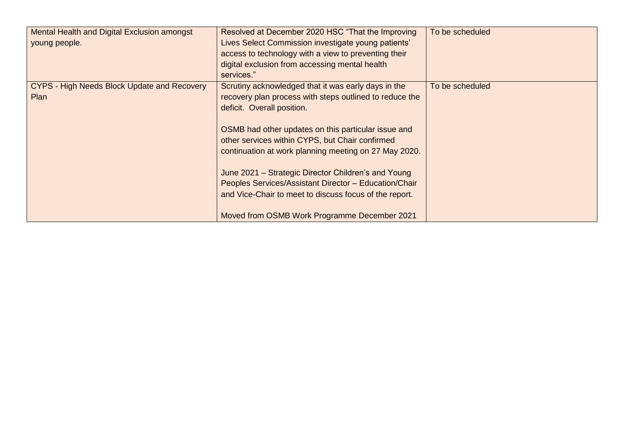| Mental Health and Digital Exclusion amongst<br>young people. | Resolved at December 2020 HSC "That the Improving<br>Lives Select Commission investigate young patients'<br>access to technology with a view to preventing their<br>digital exclusion from accessing mental health<br>services."                                                                                                                                                                                                                                                                                                          | To be scheduled |
|--------------------------------------------------------------|-------------------------------------------------------------------------------------------------------------------------------------------------------------------------------------------------------------------------------------------------------------------------------------------------------------------------------------------------------------------------------------------------------------------------------------------------------------------------------------------------------------------------------------------|-----------------|
| CYPS - High Needs Block Update and Recovery<br>Plan          | Scrutiny acknowledged that it was early days in the<br>recovery plan process with steps outlined to reduce the<br>deficit. Overall position.<br>OSMB had other updates on this particular issue and<br>other services within CYPS, but Chair confirmed<br>continuation at work planning meeting on 27 May 2020.<br>June 2021 – Strategic Director Children's and Young<br>Peoples Services/Assistant Director - Education/Chair<br>and Vice-Chair to meet to discuss focus of the report.<br>Moved from OSMB Work Programme December 2021 | To be scheduled |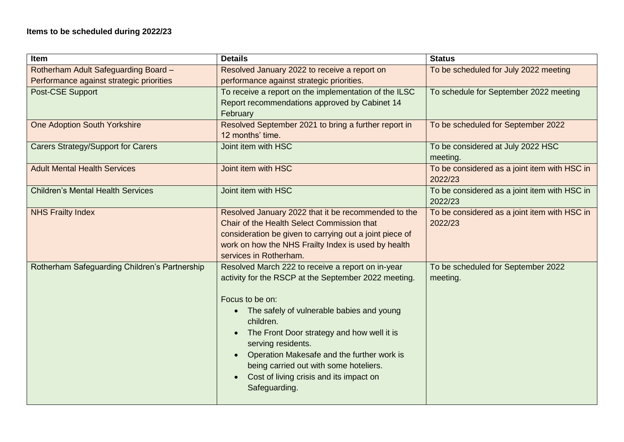| Item                                          | <b>Details</b>                                          | <b>Status</b>                                |
|-----------------------------------------------|---------------------------------------------------------|----------------------------------------------|
| Rotherham Adult Safeguarding Board -          | Resolved January 2022 to receive a report on            | To be scheduled for July 2022 meeting        |
| Performance against strategic priorities      | performance against strategic priorities.               |                                              |
| Post-CSE Support                              | To receive a report on the implementation of the ILSC   | To schedule for September 2022 meeting       |
|                                               | Report recommendations approved by Cabinet 14           |                                              |
|                                               | February                                                |                                              |
| <b>One Adoption South Yorkshire</b>           | Resolved September 2021 to bring a further report in    | To be scheduled for September 2022           |
|                                               | 12 months' time.                                        |                                              |
| Carers Strategy/Support for Carers            | Joint item with HSC                                     | To be considered at July 2022 HSC            |
|                                               |                                                         | meeting.                                     |
| <b>Adult Mental Health Services</b>           | Joint item with HSC                                     | To be considered as a joint item with HSC in |
|                                               |                                                         | 2022/23                                      |
| <b>Children's Mental Health Services</b>      | Joint item with HSC                                     | To be considered as a joint item with HSC in |
|                                               |                                                         | 2022/23                                      |
| <b>NHS Frailty Index</b>                      | Resolved January 2022 that it be recommended to the     | To be considered as a joint item with HSC in |
|                                               | Chair of the Health Select Commission that              | 2022/23                                      |
|                                               | consideration be given to carrying out a joint piece of |                                              |
|                                               | work on how the NHS Frailty Index is used by health     |                                              |
|                                               | services in Rotherham.                                  |                                              |
| Rotherham Safeguarding Children's Partnership | Resolved March 222 to receive a report on in-year       | To be scheduled for September 2022           |
|                                               | activity for the RSCP at the September 2022 meeting.    | meeting.                                     |
|                                               |                                                         |                                              |
|                                               | Focus to be on:                                         |                                              |
|                                               | The safely of vulnerable babies and young               |                                              |
|                                               | children.                                               |                                              |
|                                               | The Front Door strategy and how well it is              |                                              |
|                                               | serving residents.                                      |                                              |
|                                               | Operation Makesafe and the further work is              |                                              |
|                                               | being carried out with some hoteliers.                  |                                              |
|                                               | Cost of living crisis and its impact on                 |                                              |
|                                               | Safeguarding.                                           |                                              |
|                                               |                                                         |                                              |